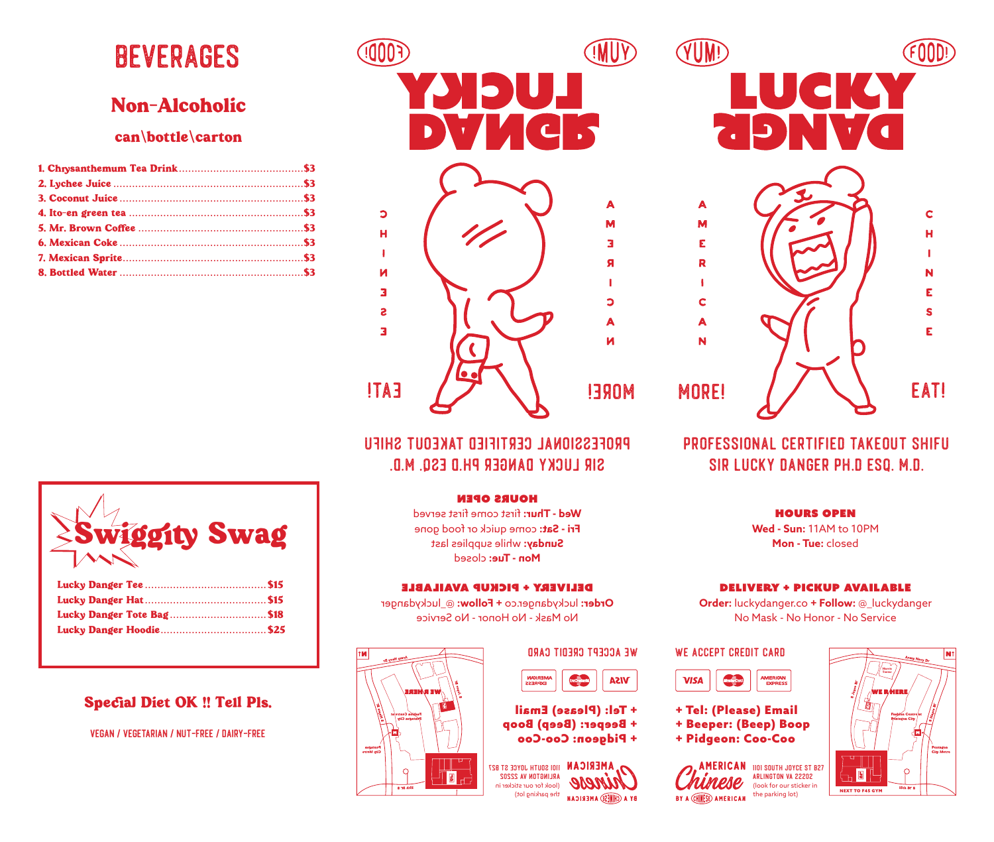# Beverages

### Non-Alcoholic

#### can/bottle/carton



### $\blacksquare$  $\sqrt{2}$ A  $\mathbf C$ M H E  $\mathbf{r}$ R  $\frac{1}{2}$  $\mathbf{r}$  $\mathbf C$ S A E N MORE! / / \ \ EAT!

### professional certified takeout shifu sir lucky danger ph.d esq. m.d.

#### hours open

**Wed - Sun:** 11AM to 10PM **Mon - Tue:** closed

#### delivery + pickup available

**Order:** luckydanger.co **+ Follow:** @\_luckydanger No Mask - No Honor - No Service

#### WE ACCEPT CREDIT CARD

VUMP

|  |  |  | <b>AMERICAN</b><br><b>EXPRESS</b> |
|--|--|--|-----------------------------------|
|--|--|--|-----------------------------------|

- + Tel: (Please) Email
- + Beeper: (Beep) Boop
- + Pidgeon: Coo-Coo

**AMERICAN 1101 SOUTH JOYCE ST B27** Arlington VA 22202 (look for our sticker in BY A CHINESE) AMERICAN the parking lot



### professional certified takeout shifu sir lucky danger ph.d esq. m.d.

#### hours open

Wed - Thur: first come first served Fri - Sat: come quick or food gone Sunday: while supplies last Mon - Tue: closed

#### delivery + pickup available

Order: luckydanger.co + Follow: @\_luckydanger No Mask - No Honor - No Service

## WE ACCEPT CREDIT CARD

| <b>AMERICAN</b><br><b>EXPRESS</b> |  |
|-----------------------------------|--|
|                                   |  |

+ Tel: (Please) Email + Beeper: (Beep) Boop + Pidgeon: Coo-Coo

**AMERICAN**  $\overline{1001}$  South Joyce St B27 Arlington VA 22202 (look for our sticker in the parking lot) BY A (CHINESE) A MERICAN





| Lucky Danger Tote Bag\$18 |  |
|---------------------------|--|
|                           |  |

### Special Diet OK !! Tell Pls.

vegan / vegetarian / nut-free / dairy-free